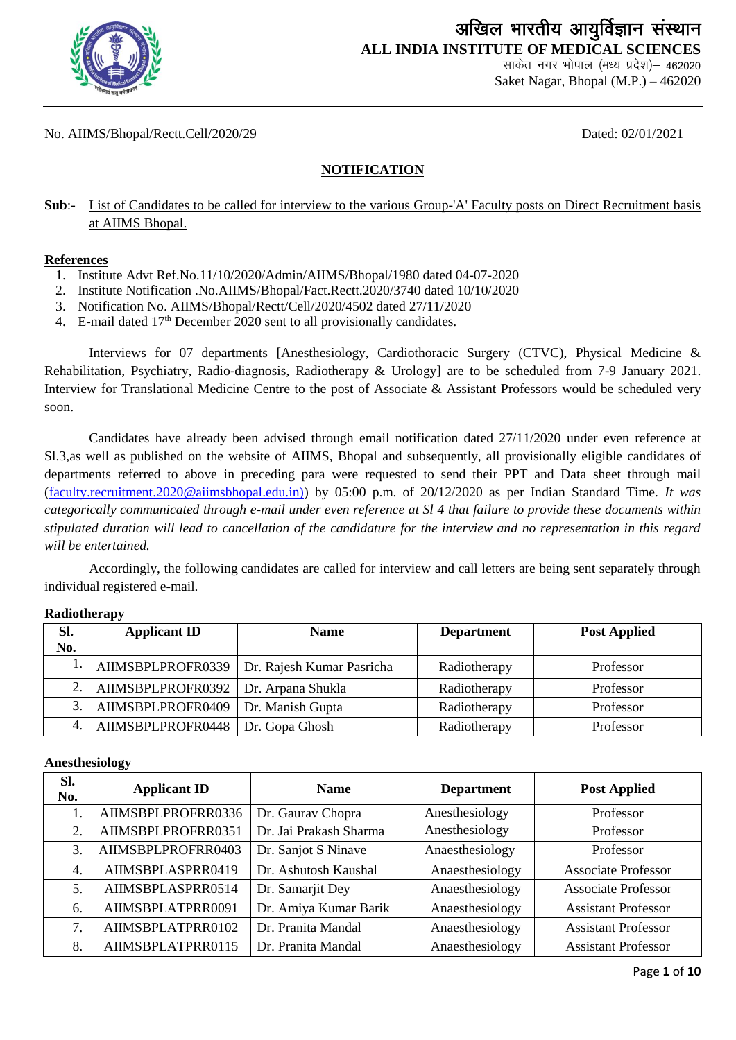

## अखिल भारतीय आयुर्विज्ञान संस्थान **ALL INDIA INSTITUTE OF MEDICAL SCIENCES**

साकेत नगर भोपाल (मध्य प्रदेश)– 462020 Saket Nagar, Bhopal (M.P.) – 462020

No. AIIMS/Bhopal/Rectt.Cell/2020/29 Dated: 02/01/2021

### **NOTIFICATION**

**Sub**:- List of Candidates to be called for interview to the various Group-'A' Faculty posts on Direct Recruitment basis at AIIMS Bhopal.

#### **References**

- 1. Institute Advt Ref.No.11/10/2020/Admin/AIIMS/Bhopal/1980 dated 04-07-2020
- 2. Institute Notification .No.AIIMS/Bhopal/Fact.Rectt.2020/3740 dated 10/10/2020
- 3. Notification No. AIIMS/Bhopal/Rectt/Cell/2020/4502 dated 27/11/2020
- 4. E-mail dated 17<sup>th</sup> December 2020 sent to all provisionally candidates.

Interviews for 07 departments [Anesthesiology, Cardiothoracic Surgery (CTVC), Physical Medicine & Rehabilitation, Psychiatry, Radio-diagnosis, Radiotherapy & Urology] are to be scheduled from 7-9 January 2021. Interview for Translational Medicine Centre to the post of Associate & Assistant Professors would be scheduled very soon.

Candidates have already been advised through email notification dated 27/11/2020 under even reference at Sl.3,as well as published on the website of AIIMS, Bhopal and subsequently, all provisionally eligible candidates of departments referred to above in preceding para were requested to send their PPT and Data sheet through mail [\(faculty.recruitment.2020@aiimsbhopal.edu.in\)\)](mailto:faculty.recruitment.2020@aiimsbhopal.edu.in)) by 05:00 p.m. of 20/12/2020 as per Indian Standard Time. *It was categorically communicated through e-mail under even reference at Sl 4 that failure to provide these documents within stipulated duration will lead to cancellation of the candidature for the interview and no representation in this regard will be entertained.* 

Accordingly, the following candidates are called for interview and call letters are being sent separately through individual registered e-mail.

#### **Radiotherapy**

| SI. | <b>Applicant ID</b>                   | <b>Name</b>                                   | <b>Department</b> | <b>Post Applied</b> |
|-----|---------------------------------------|-----------------------------------------------|-------------------|---------------------|
| No. |                                       |                                               |                   |                     |
|     |                                       | AIIMSBPLPROFR0339   Dr. Rajesh Kumar Pasricha | Radiotherapy      | Professor           |
| 2.  | AIIMSBPLPROFR0392   Dr. Arpana Shukla |                                               | Radiotherapy      | Professor           |
| 3.  | AIIMSBPLPROFR0409                     | Dr. Manish Gupta                              | Radiotherapy      | Professor           |
| 4.  | AIIMSBPLPROFR0448                     | Dr. Gopa Ghosh                                | Radiotherapy      | Professor           |

#### **Anesthesiology**

| Sl.<br>No. | <b>Applicant ID</b> | <b>Name</b>            | <b>Department</b> | <b>Post Applied</b>        |
|------------|---------------------|------------------------|-------------------|----------------------------|
|            | AIIMSBPLPROFRR0336  | Dr. Gauray Chopra      | Anesthesiology    | Professor                  |
| 2.         | AIIMSBPLPROFRR0351  | Dr. Jai Prakash Sharma | Anesthesiology    | Professor                  |
| 3.         | AIIMSBPLPROFRR0403  | Dr. Sanjot S Ninave    | Anaesthesiology   | Professor                  |
| 4.         | AIIMSBPLASPRR0419   | Dr. Ashutosh Kaushal   | Anaesthesiology   | <b>Associate Professor</b> |
| .5.        | AIIMSBPLASPRR0514   | Dr. Samarjit Dey       | Anaesthesiology   | <b>Associate Professor</b> |
| 6.         | AIIMSBPLATPRR0091   | Dr. Amiya Kumar Barik  | Anaesthesiology   | <b>Assistant Professor</b> |
| 7          | AIIMSBPLATPRR0102   | Dr. Pranita Mandal     | Anaesthesiology   | <b>Assistant Professor</b> |
| 8.         | AIIMSBPLATPRR0115   | Dr. Pranita Mandal     | Anaesthesiology   | <b>Assistant Professor</b> |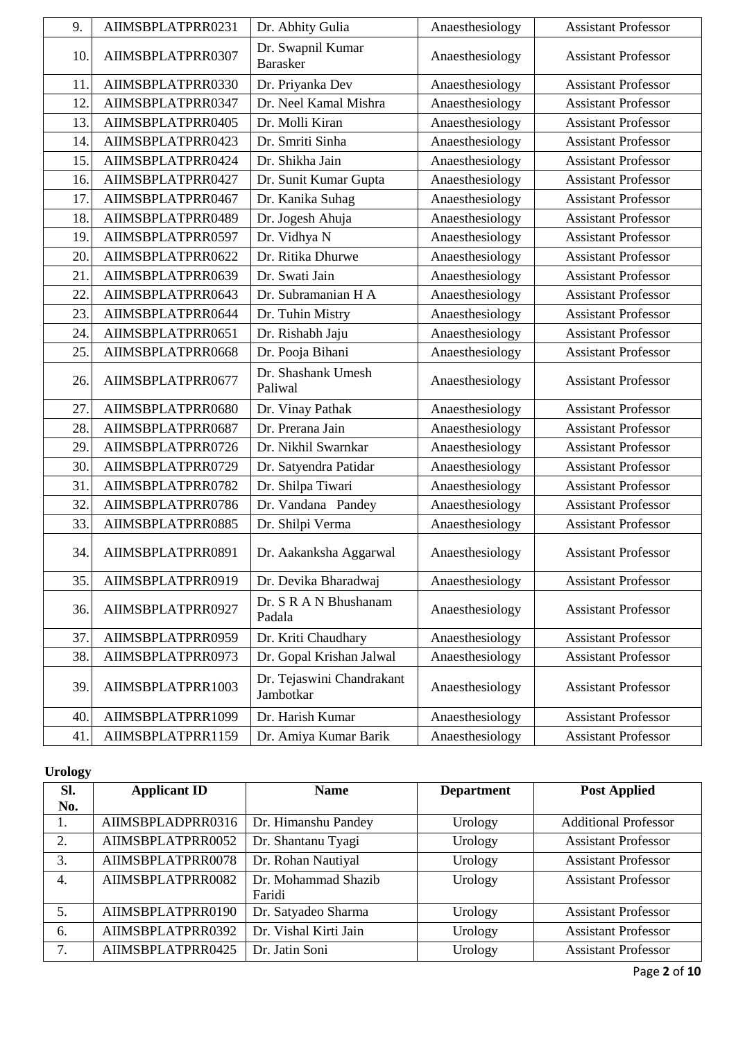| 9.  | AIIMSBPLATPRR0231 | Dr. Abhity Gulia                       | Anaesthesiology | <b>Assistant Professor</b> |
|-----|-------------------|----------------------------------------|-----------------|----------------------------|
| 10. | AIIMSBPLATPRR0307 | Dr. Swapnil Kumar<br><b>Barasker</b>   | Anaesthesiology | <b>Assistant Professor</b> |
| 11. | AIIMSBPLATPRR0330 | Dr. Priyanka Dev                       | Anaesthesiology | <b>Assistant Professor</b> |
| 12. | AIIMSBPLATPRR0347 | Dr. Neel Kamal Mishra                  | Anaesthesiology | <b>Assistant Professor</b> |
| 13. | AIIMSBPLATPRR0405 | Dr. Molli Kiran                        | Anaesthesiology | <b>Assistant Professor</b> |
| 14. | AIIMSBPLATPRR0423 | Dr. Smriti Sinha                       | Anaesthesiology | <b>Assistant Professor</b> |
| 15. | AIIMSBPLATPRR0424 | Dr. Shikha Jain                        | Anaesthesiology | <b>Assistant Professor</b> |
| 16. | AIIMSBPLATPRR0427 | Dr. Sunit Kumar Gupta                  | Anaesthesiology | <b>Assistant Professor</b> |
| 17. | AIIMSBPLATPRR0467 | Dr. Kanika Suhag                       | Anaesthesiology | <b>Assistant Professor</b> |
| 18. | AIIMSBPLATPRR0489 | Dr. Jogesh Ahuja                       | Anaesthesiology | <b>Assistant Professor</b> |
| 19. | AIIMSBPLATPRR0597 | Dr. Vidhya N                           | Anaesthesiology | <b>Assistant Professor</b> |
| 20. | AIIMSBPLATPRR0622 | Dr. Ritika Dhurwe                      | Anaesthesiology | <b>Assistant Professor</b> |
| 21. | AIIMSBPLATPRR0639 | Dr. Swati Jain                         | Anaesthesiology | <b>Assistant Professor</b> |
| 22. | AIIMSBPLATPRR0643 | Dr. Subramanian H A                    | Anaesthesiology | <b>Assistant Professor</b> |
| 23. | AIIMSBPLATPRR0644 | Dr. Tuhin Mistry                       | Anaesthesiology | <b>Assistant Professor</b> |
| 24. | AIIMSBPLATPRR0651 | Dr. Rishabh Jaju                       | Anaesthesiology | <b>Assistant Professor</b> |
| 25. | AIIMSBPLATPRR0668 | Dr. Pooja Bihani                       | Anaesthesiology | <b>Assistant Professor</b> |
| 26. | AIIMSBPLATPRR0677 | Dr. Shashank Umesh<br>Paliwal          | Anaesthesiology | <b>Assistant Professor</b> |
| 27. | AIIMSBPLATPRR0680 | Dr. Vinay Pathak                       | Anaesthesiology | <b>Assistant Professor</b> |
| 28. | AIIMSBPLATPRR0687 | Dr. Prerana Jain                       | Anaesthesiology | <b>Assistant Professor</b> |
| 29. | AIIMSBPLATPRR0726 | Dr. Nikhil Swarnkar                    | Anaesthesiology | <b>Assistant Professor</b> |
| 30. | AIIMSBPLATPRR0729 | Dr. Satyendra Patidar                  | Anaesthesiology | <b>Assistant Professor</b> |
| 31  | AIIMSBPLATPRR0782 | Dr. Shilpa Tiwari                      | Anaesthesiology | <b>Assistant Professor</b> |
| 32. | AIIMSBPLATPRR0786 | Dr. Vandana Pandey                     | Anaesthesiology | <b>Assistant Professor</b> |
| 33. | AIIMSBPLATPRR0885 | Dr. Shilpi Verma                       | Anaesthesiology | <b>Assistant Professor</b> |
| 34. | AIIMSBPLATPRR0891 | Dr. Aakanksha Aggarwal                 | Anaesthesiology | <b>Assistant Professor</b> |
| 35. | AIIMSBPLATPRR0919 | Dr. Devika Bharadwaj                   | Anaesthesiology | <b>Assistant Professor</b> |
| 36. | AIIMSBPLATPRR0927 | Dr. S R A N Bhushanam<br>Padala        | Anaesthesiology | <b>Assistant Professor</b> |
| 37. | AIIMSBPLATPRR0959 | Dr. Kriti Chaudhary                    | Anaesthesiology | <b>Assistant Professor</b> |
| 38. | AIIMSBPLATPRR0973 | Dr. Gopal Krishan Jalwal               | Anaesthesiology | <b>Assistant Professor</b> |
| 39. | AIIMSBPLATPRR1003 | Dr. Tejaswini Chandrakant<br>Jambotkar | Anaesthesiology | <b>Assistant Professor</b> |
| 40. | AIIMSBPLATPRR1099 | Dr. Harish Kumar                       | Anaesthesiology | <b>Assistant Professor</b> |
| 41. | AIIMSBPLATPRR1159 | Dr. Amiya Kumar Barik                  | Anaesthesiology | <b>Assistant Professor</b> |

### **Urology**

| SI.              | <b>Applicant ID</b> | <b>Name</b>                   | <b>Department</b> | <b>Post Applied</b>         |
|------------------|---------------------|-------------------------------|-------------------|-----------------------------|
| No.              |                     |                               |                   |                             |
| 1.               | AIIMSBPLADPRR0316   | Dr. Himanshu Pandey           | Urology           | <b>Additional Professor</b> |
| 2.               | AIIMSBPLATPRR0052   | Dr. Shantanu Tyagi            | Urology           | <b>Assistant Professor</b>  |
| 3.               | AIIMSBPLATPRR0078   | Dr. Rohan Nautiyal            | Urology           | <b>Assistant Professor</b>  |
| $\overline{4}$ . | AIIMSBPLATPRR0082   | Dr. Mohammad Shazib<br>Faridi | Urology           | <b>Assistant Professor</b>  |
| 5.               | AIIMSBPLATPRR0190   | Dr. Satyadeo Sharma           | Urology           | <b>Assistant Professor</b>  |
| 6.               | AIIMSBPLATPRR0392   | Dr. Vishal Kirti Jain         | Urology           | <b>Assistant Professor</b>  |
| 7.               | AIIMSBPLATPRR0425   | Dr. Jatin Soni                | Urology           | <b>Assistant Professor</b>  |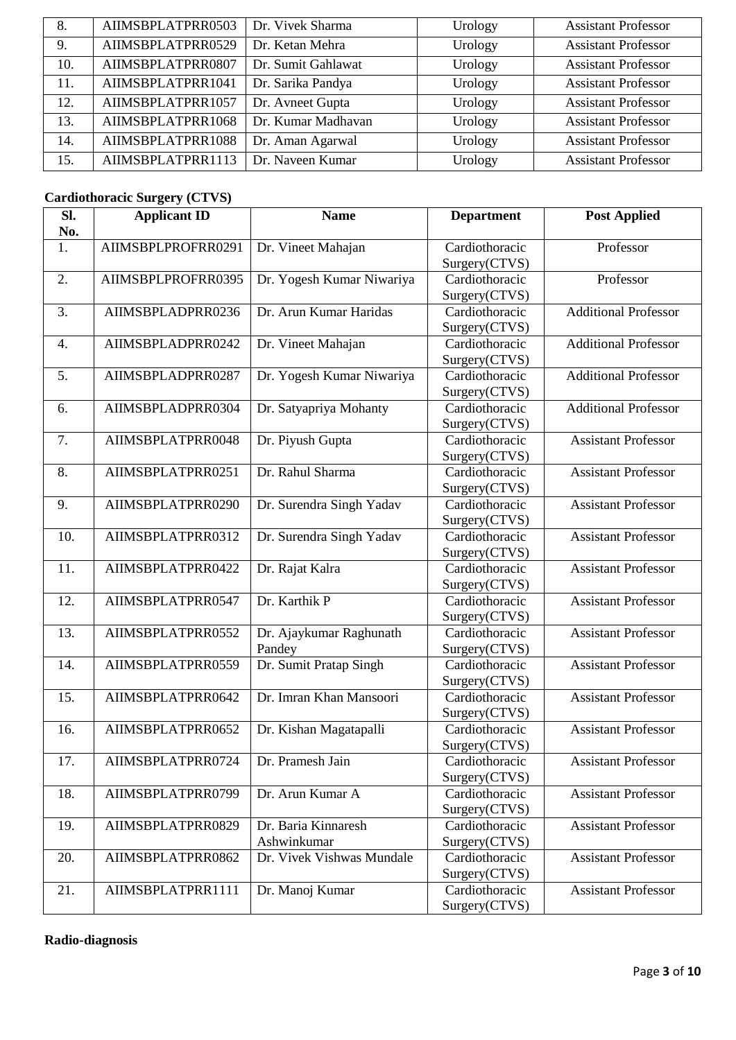| 8.  | AIIMSBPLATPRR0503 | Dr. Vivek Sharma   | Urology | <b>Assistant Professor</b> |
|-----|-------------------|--------------------|---------|----------------------------|
| 9.  | AIIMSBPLATPRR0529 | Dr. Ketan Mehra    | Urology | <b>Assistant Professor</b> |
| 10. | AIIMSBPLATPRR0807 | Dr. Sumit Gahlawat | Urology | <b>Assistant Professor</b> |
| 11. | AIIMSBPLATPRR1041 | Dr. Sarika Pandya  | Urology | <b>Assistant Professor</b> |
| 12. | AIIMSBPLATPRR1057 | Dr. Avneet Gupta   | Urology | <b>Assistant Professor</b> |
| 13. | AIIMSBPLATPRR1068 | Dr. Kumar Madhavan | Urology | <b>Assistant Professor</b> |
| 14. | AIIMSBPLATPRR1088 | Dr. Aman Agarwal   | Urology | <b>Assistant Professor</b> |
| 15. | AIIMSBPLATPRR1113 | Dr. Naveen Kumar   | Urology | <b>Assistant Professor</b> |

### **Cardiothoracic Surgery (CTVS)**

| SI. | <b>Applicant ID</b> | <b>Name</b>                        | <b>Department</b>               | <b>Post Applied</b>         |
|-----|---------------------|------------------------------------|---------------------------------|-----------------------------|
| No. |                     |                                    |                                 |                             |
| 1.  | AIIMSBPLPROFRR0291  | Dr. Vineet Mahajan                 | Cardiothoracic<br>Surgery(CTVS) | Professor                   |
| 2.  | AIIMSBPLPROFRR0395  | Dr. Yogesh Kumar Niwariya          | Cardiothoracic<br>Surgery(CTVS) | Professor                   |
| 3.  | AIIMSBPLADPRR0236   | Dr. Arun Kumar Haridas             | Cardiothoracic<br>Surgery(CTVS) | <b>Additional Professor</b> |
| 4.  | AIIMSBPLADPRR0242   | Dr. Vineet Mahajan                 | Cardiothoracic<br>Surgery(CTVS) | <b>Additional Professor</b> |
| 5.  | AIIMSBPLADPRR0287   | Dr. Yogesh Kumar Niwariya          | Cardiothoracic<br>Surgery(CTVS) | <b>Additional Professor</b> |
| 6.  | AIIMSBPLADPRR0304   | Dr. Satyapriya Mohanty             | Cardiothoracic<br>Surgery(CTVS) | <b>Additional Professor</b> |
| 7.  | AIIMSBPLATPRR0048   | Dr. Piyush Gupta                   | Cardiothoracic<br>Surgery(CTVS) | <b>Assistant Professor</b>  |
| 8.  | AIIMSBPLATPRR0251   | Dr. Rahul Sharma                   | Cardiothoracic<br>Surgery(CTVS) | <b>Assistant Professor</b>  |
| 9.  | AIIMSBPLATPRR0290   | Dr. Surendra Singh Yadav           | Cardiothoracic<br>Surgery(CTVS) | <b>Assistant Professor</b>  |
| 10. | AIIMSBPLATPRR0312   | Dr. Surendra Singh Yadav           | Cardiothoracic<br>Surgery(CTVS) | <b>Assistant Professor</b>  |
| 11. | AIIMSBPLATPRR0422   | Dr. Rajat Kalra                    | Cardiothoracic<br>Surgery(CTVS) | <b>Assistant Professor</b>  |
| 12. | AIIMSBPLATPRR0547   | Dr. Karthik P                      | Cardiothoracic<br>Surgery(CTVS) | <b>Assistant Professor</b>  |
| 13. | AIIMSBPLATPRR0552   | Dr. Ajaykumar Raghunath<br>Pandey  | Cardiothoracic<br>Surgery(CTVS) | <b>Assistant Professor</b>  |
| 14. | AIIMSBPLATPRR0559   | Dr. Sumit Pratap Singh             | Cardiothoracic<br>Surgery(CTVS) | <b>Assistant Professor</b>  |
| 15. | AIIMSBPLATPRR0642   | Dr. Imran Khan Mansoori            | Cardiothoracic<br>Surgery(CTVS) | <b>Assistant Professor</b>  |
| 16. | AIIMSBPLATPRR0652   | Dr. Kishan Magatapalli             | Cardiothoracic<br>Surgery(CTVS) | <b>Assistant Professor</b>  |
| 17. | AIIMSBPLATPRR0724   | Dr. Pramesh Jain                   | Cardiothoracic<br>Surgery(CTVS) | <b>Assistant Professor</b>  |
| 18. | AIIMSBPLATPRR0799   | Dr. Arun Kumar A                   | Cardiothoracic<br>Surgery(CTVS) | <b>Assistant Professor</b>  |
| 19. | AIIMSBPLATPRR0829   | Dr. Baria Kinnaresh<br>Ashwinkumar | Cardiothoracic<br>Surgery(CTVS) | <b>Assistant Professor</b>  |
| 20. | AIIMSBPLATPRR0862   | Dr. Vivek Vishwas Mundale          | Cardiothoracic<br>Surgery(CTVS) | <b>Assistant Professor</b>  |
| 21. | AIIMSBPLATPRR1111   | Dr. Manoj Kumar                    | Cardiothoracic<br>Surgery(CTVS) | <b>Assistant Professor</b>  |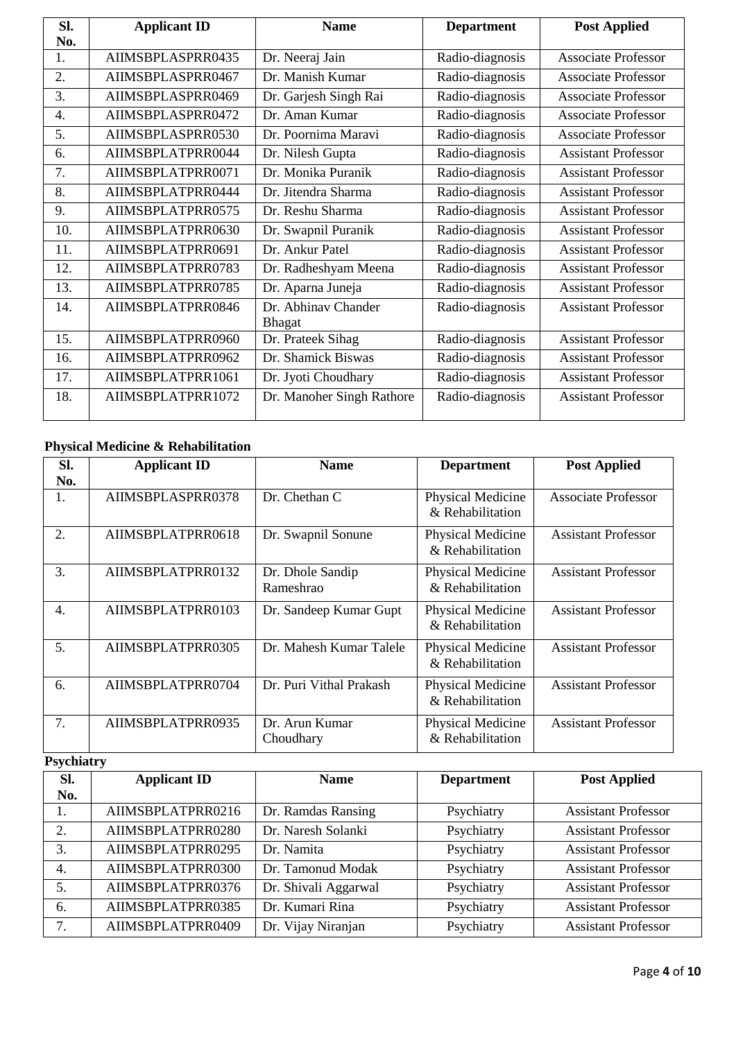| SI.              | <b>Applicant ID</b> | <b>Name</b>               | <b>Department</b> | <b>Post Applied</b>        |
|------------------|---------------------|---------------------------|-------------------|----------------------------|
| No.              |                     |                           |                   |                            |
| 1.               | AIIMSBPLASPRR0435   | Dr. Neeraj Jain           | Radio-diagnosis   | <b>Associate Professor</b> |
| 2.               | AIIMSBPLASPRR0467   | Dr. Manish Kumar          | Radio-diagnosis   | <b>Associate Professor</b> |
| 3.               | AIIMSBPLASPRR0469   | Dr. Garjesh Singh Rai     | Radio-diagnosis   | <b>Associate Professor</b> |
| $\overline{4}$ . | AIIMSBPLASPRR0472   | Dr. Aman Kumar            | Radio-diagnosis   | <b>Associate Professor</b> |
| 5.               | AIIMSBPLASPRR0530   | Dr. Poornima Maravi       | Radio-diagnosis   | <b>Associate Professor</b> |
| 6.               | AIIMSBPLATPRR0044   | Dr. Nilesh Gupta          | Radio-diagnosis   | <b>Assistant Professor</b> |
| 7.               | AIIMSBPLATPRR0071   | Dr. Monika Puranik        | Radio-diagnosis   | <b>Assistant Professor</b> |
| 8.               | AIIMSBPLATPRR0444   | Dr. Jitendra Sharma       | Radio-diagnosis   | <b>Assistant Professor</b> |
| 9.               | AIIMSBPLATPRR0575   | Dr. Reshu Sharma          | Radio-diagnosis   | <b>Assistant Professor</b> |
| 10.              | AIIMSBPLATPRR0630   | Dr. Swapnil Puranik       | Radio-diagnosis   | <b>Assistant Professor</b> |
| 11.              | AIIMSBPLATPRR0691   | Dr. Ankur Patel           | Radio-diagnosis   | <b>Assistant Professor</b> |
| 12.              | AIIMSBPLATPRR0783   | Dr. Radheshyam Meena      | Radio-diagnosis   | <b>Assistant Professor</b> |
| 13.              | AIIMSBPLATPRR0785   | Dr. Aparna Juneja         | Radio-diagnosis   | <b>Assistant Professor</b> |
| 14.              | AIIMSBPLATPRR0846   | Dr. Abhinav Chander       | Radio-diagnosis   | <b>Assistant Professor</b> |
|                  |                     | <b>Bhagat</b>             |                   |                            |
| 15.              | AIIMSBPLATPRR0960   | Dr. Prateek Sihag         | Radio-diagnosis   | <b>Assistant Professor</b> |
| 16.              | AIIMSBPLATPRR0962   | Dr. Shamick Biswas        | Radio-diagnosis   | <b>Assistant Professor</b> |
| 17.              | AIIMSBPLATPRR1061   | Dr. Jyoti Choudhary       | Radio-diagnosis   | <b>Assistant Professor</b> |
| 18.              | AIIMSBPLATPRR1072   | Dr. Manoher Singh Rathore | Radio-diagnosis   | <b>Assistant Professor</b> |
|                  |                     |                           |                   |                            |

# **Physical Medicine & Rehabilitation**

| Sl. | <b>Applicant ID</b> | <b>Name</b>                   | <b>Department</b>                            | <b>Post Applied</b>        |
|-----|---------------------|-------------------------------|----------------------------------------------|----------------------------|
| No. |                     |                               |                                              |                            |
| 1.  | AIIMSBPLASPRR0378   | Dr. Chethan C                 | Physical Medicine<br>& Rehabilitation        | <b>Associate Professor</b> |
| 2.  | AIIMSBPLATPRR0618   | Dr. Swapnil Sonune            | <b>Physical Medicine</b><br>& Rehabilitation | <b>Assistant Professor</b> |
| 3.  | AIIMSBPLATPRR0132   | Dr. Dhole Sandip<br>Rameshrao | Physical Medicine<br>& Rehabilitation        | <b>Assistant Professor</b> |
| 4.  | AIIMSBPLATPRR0103   | Dr. Sandeep Kumar Gupt        | Physical Medicine<br>& Rehabilitation        | <b>Assistant Professor</b> |
| 5.  | AIIMSBPLATPRR0305   | Dr. Mahesh Kumar Talele       | Physical Medicine<br>& Rehabilitation        | <b>Assistant Professor</b> |
| 6.  | AIIMSBPLATPRR0704   | Dr. Puri Vithal Prakash       | Physical Medicine<br>& Rehabilitation        | <b>Assistant Professor</b> |
| 7.  | AIIMSBPLATPRR0935   | Dr. Arun Kumar<br>Choudhary   | <b>Physical Medicine</b><br>& Rehabilitation | <b>Assistant Professor</b> |

## **Psychiatry**

| SI. | <b>Applicant ID</b> | <b>Name</b>          | <b>Department</b> | <b>Post Applied</b>        |
|-----|---------------------|----------------------|-------------------|----------------------------|
| No. |                     |                      |                   |                            |
| 1.  | AIIMSBPLATPRR0216   | Dr. Ramdas Ransing   | Psychiatry        | <b>Assistant Professor</b> |
| 2.  | AIIMSBPLATPRR0280   | Dr. Naresh Solanki   | Psychiatry        | <b>Assistant Professor</b> |
| 3.  | AIIMSBPLATPRR0295   | Dr. Namita           | Psychiatry        | <b>Assistant Professor</b> |
| 4.  | AIIMSBPLATPRR0300   | Dr. Tamonud Modak    | Psychiatry        | <b>Assistant Professor</b> |
| 5.  | AIIMSBPLATPRR0376   | Dr. Shivali Aggarwal | Psychiatry        | <b>Assistant Professor</b> |
| 6.  | AIIMSBPLATPRR0385   | Dr. Kumari Rina      | Psychiatry        | <b>Assistant Professor</b> |
|     | AIIMSBPLATPRR0409   | Dr. Vijay Niranjan   | Psychiatry        | <b>Assistant Professor</b> |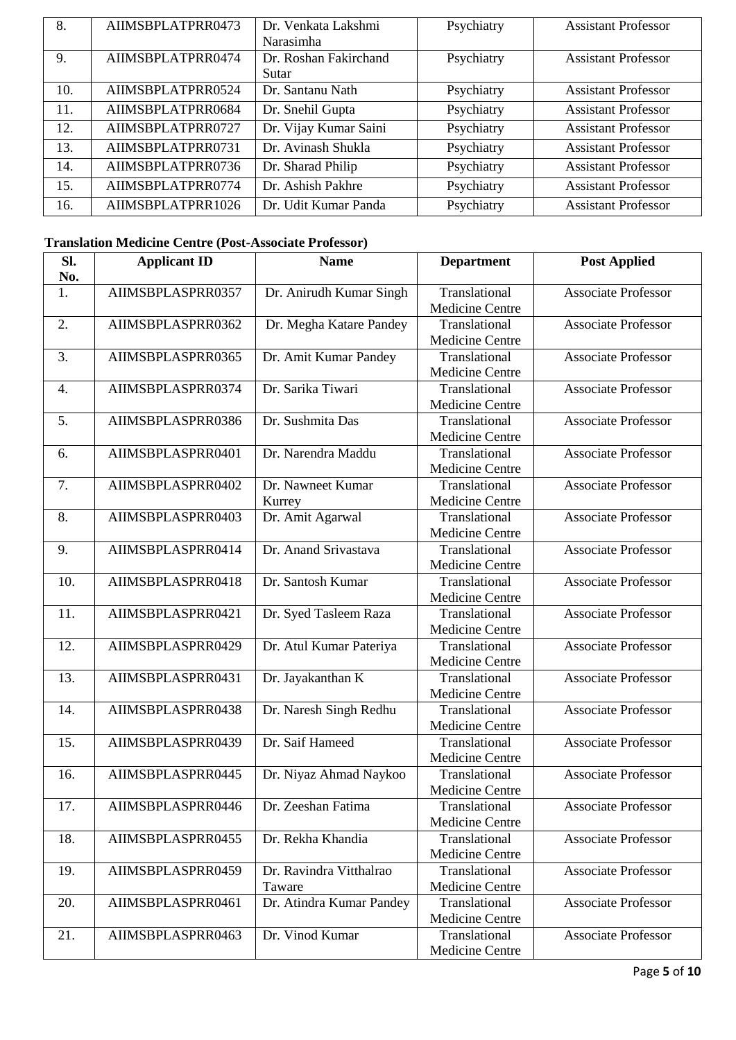| 8.  | AIIMSBPLATPRR0473 | Dr. Venkata Lakshmi   | Psychiatry | <b>Assistant Professor</b> |
|-----|-------------------|-----------------------|------------|----------------------------|
|     |                   | Narasimha             |            |                            |
| 9.  | AIIMSBPLATPRR0474 | Dr. Roshan Fakirchand | Psychiatry | <b>Assistant Professor</b> |
|     |                   | Sutar                 |            |                            |
| 10. | AIIMSBPLATPRR0524 | Dr. Santanu Nath      | Psychiatry | <b>Assistant Professor</b> |
| 11. | AIIMSBPLATPRR0684 | Dr. Snehil Gupta      | Psychiatry | <b>Assistant Professor</b> |
| 12. | AIIMSBPLATPRR0727 | Dr. Vijay Kumar Saini | Psychiatry | <b>Assistant Professor</b> |
| 13. | AIIMSBPLATPRR0731 | Dr. Avinash Shukla    | Psychiatry | <b>Assistant Professor</b> |
| 14. | AIIMSBPLATPRR0736 | Dr. Sharad Philip     | Psychiatry | <b>Assistant Professor</b> |
| 15. | AIIMSBPLATPRR0774 | Dr. Ashish Pakhre     | Psychiatry | <b>Assistant Professor</b> |
| 16. | AIIMSBPLATPRR1026 | Dr. Udit Kumar Panda  | Psychiatry | <b>Assistant Professor</b> |

### **Translation Medicine Centre (Post-Associate Professor)**

| SI.<br>No.       | <b>Applicant ID</b> | <b>Name</b>                       | <b>Department</b>                       | <b>Post Applied</b>        |
|------------------|---------------------|-----------------------------------|-----------------------------------------|----------------------------|
| 1.               | AIIMSBPLASPRR0357   | Dr. Anirudh Kumar Singh           | Translational<br><b>Medicine Centre</b> | <b>Associate Professor</b> |
| 2.               | AIIMSBPLASPRR0362   | Dr. Megha Katare Pandey           | Translational<br>Medicine Centre        | <b>Associate Professor</b> |
| 3.               | AIIMSBPLASPRR0365   | Dr. Amit Kumar Pandey             | Translational<br>Medicine Centre        | <b>Associate Professor</b> |
| $\overline{4}$ . | AIIMSBPLASPRR0374   | Dr. Sarika Tiwari                 | Translational<br>Medicine Centre        | Associate Professor        |
| 5.               | AIIMSBPLASPRR0386   | Dr. Sushmita Das                  | Translational<br>Medicine Centre        | <b>Associate Professor</b> |
| 6.               | AIIMSBPLASPRR0401   | Dr. Narendra Maddu                | Translational<br>Medicine Centre        | <b>Associate Professor</b> |
| 7.               | AIIMSBPLASPRR0402   | Dr. Nawneet Kumar<br>Kurrey       | Translational<br><b>Medicine Centre</b> | <b>Associate Professor</b> |
| 8.               | AIIMSBPLASPRR0403   | Dr. Amit Agarwal                  | Translational<br><b>Medicine Centre</b> | <b>Associate Professor</b> |
| 9.               | AIIMSBPLASPRR0414   | Dr. Anand Srivastava              | Translational<br><b>Medicine Centre</b> | <b>Associate Professor</b> |
| 10.              | AIIMSBPLASPRR0418   | Dr. Santosh Kumar                 | Translational<br><b>Medicine Centre</b> | <b>Associate Professor</b> |
| 11.              | AIIMSBPLASPRR0421   | Dr. Syed Tasleem Raza             | Translational<br>Medicine Centre        | <b>Associate Professor</b> |
| 12.              | AIIMSBPLASPRR0429   | Dr. Atul Kumar Pateriya           | Translational<br><b>Medicine Centre</b> | <b>Associate Professor</b> |
| 13.              | AIIMSBPLASPRR0431   | Dr. Jayakanthan K                 | Translational<br>Medicine Centre        | <b>Associate Professor</b> |
| 14.              | AIIMSBPLASPRR0438   | Dr. Naresh Singh Redhu            | Translational<br>Medicine Centre        | <b>Associate Professor</b> |
| 15.              | AIIMSBPLASPRR0439   | Dr. Saif Hameed                   | Translational<br>Medicine Centre        | <b>Associate Professor</b> |
| 16.              | AIIMSBPLASPRR0445   | Dr. Niyaz Ahmad Naykoo            | Translational<br>Medicine Centre        | <b>Associate Professor</b> |
| 17.              | AIIMSBPLASPRR0446   | Dr. Zeeshan Fatima                | Translational<br>Medicine Centre        | <b>Associate Professor</b> |
| 18.              | AIIMSBPLASPRR0455   | Dr. Rekha Khandia                 | Translational<br><b>Medicine Centre</b> | <b>Associate Professor</b> |
| 19.              | AIIMSBPLASPRR0459   | Dr. Ravindra Vitthalrao<br>Taware | Translational<br><b>Medicine Centre</b> | <b>Associate Professor</b> |
| 20.              | AIIMSBPLASPRR0461   | Dr. Atindra Kumar Pandey          | Translational<br>Medicine Centre        | <b>Associate Professor</b> |
| 21.              | AIIMSBPLASPRR0463   | Dr. Vinod Kumar                   | Translational<br>Medicine Centre        | <b>Associate Professor</b> |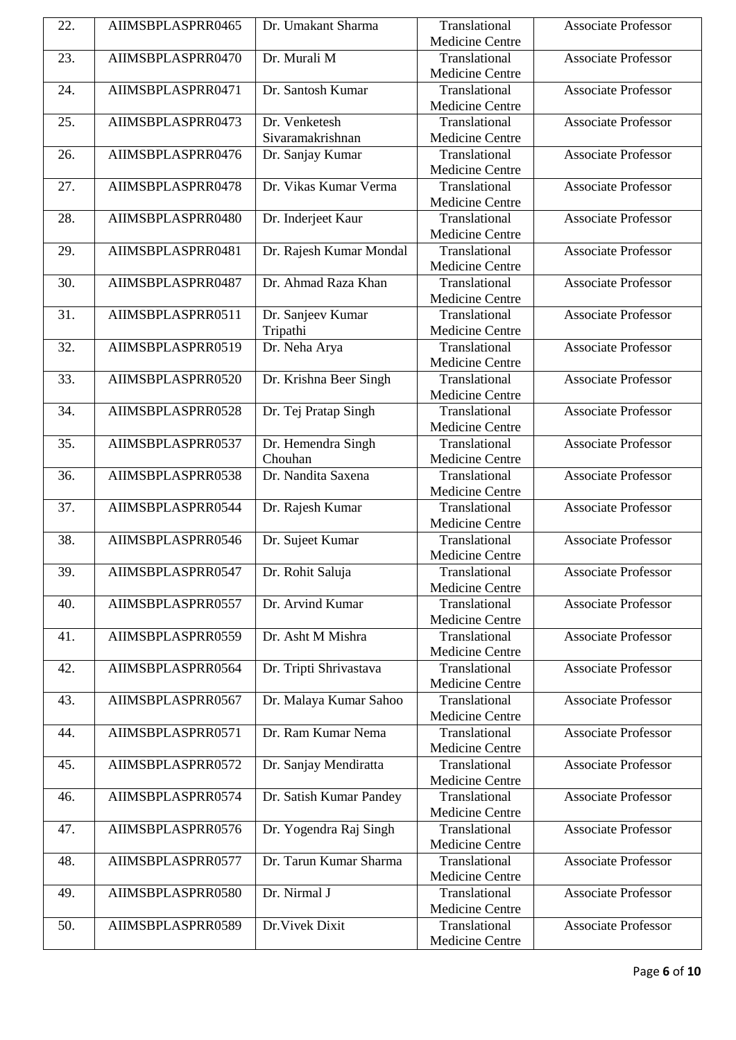| 22. | AIIMSBPLASPRR0465 | Dr. Umakant Sharma      | Translational          | <b>Associate Professor</b> |
|-----|-------------------|-------------------------|------------------------|----------------------------|
|     |                   |                         | Medicine Centre        |                            |
| 23. | AIIMSBPLASPRR0470 | Dr. Murali M            | Translational          | <b>Associate Professor</b> |
|     |                   |                         | Medicine Centre        |                            |
| 24. | AIIMSBPLASPRR0471 | Dr. Santosh Kumar       | Translational          | <b>Associate Professor</b> |
|     |                   |                         | <b>Medicine Centre</b> |                            |
| 25. | AIIMSBPLASPRR0473 | Dr. Venketesh           | Translational          | <b>Associate Professor</b> |
|     |                   | Sivaramakrishnan        | <b>Medicine Centre</b> |                            |
| 26. | AIIMSBPLASPRR0476 | Dr. Sanjay Kumar        | Translational          | <b>Associate Professor</b> |
|     |                   |                         | Medicine Centre        |                            |
| 27. | AIIMSBPLASPRR0478 | Dr. Vikas Kumar Verma   | Translational          | <b>Associate Professor</b> |
|     |                   |                         | <b>Medicine Centre</b> |                            |
| 28. | AIIMSBPLASPRR0480 | Dr. Inderjeet Kaur      | Translational          | <b>Associate Professor</b> |
|     |                   |                         | <b>Medicine Centre</b> |                            |
| 29. | AIIMSBPLASPRR0481 | Dr. Rajesh Kumar Mondal | Translational          | <b>Associate Professor</b> |
|     |                   |                         | Medicine Centre        |                            |
| 30. | AIIMSBPLASPRR0487 | Dr. Ahmad Raza Khan     | Translational          | <b>Associate Professor</b> |
|     |                   |                         | Medicine Centre        |                            |
| 31. | AIIMSBPLASPRR0511 | Dr. Sanjeev Kumar       | Translational          | <b>Associate Professor</b> |
|     |                   | Tripathi                | <b>Medicine Centre</b> |                            |
| 32. | AIIMSBPLASPRR0519 | Dr. Neha Arya           | Translational          | <b>Associate Professor</b> |
|     |                   |                         | Medicine Centre        |                            |
| 33. | AIIMSBPLASPRR0520 | Dr. Krishna Beer Singh  | Translational          | <b>Associate Professor</b> |
|     |                   |                         | Medicine Centre        |                            |
| 34. | AIIMSBPLASPRR0528 | Dr. Tej Pratap Singh    | Translational          | <b>Associate Professor</b> |
|     |                   |                         | <b>Medicine Centre</b> |                            |
| 35. | AIIMSBPLASPRR0537 | Dr. Hemendra Singh      | Translational          | <b>Associate Professor</b> |
|     |                   | Chouhan                 | Medicine Centre        |                            |
| 36. | AIIMSBPLASPRR0538 | Dr. Nandita Saxena      | Translational          | Associate Professor        |
|     |                   |                         | Medicine Centre        |                            |
| 37. | AIIMSBPLASPRR0544 | Dr. Rajesh Kumar        | Translational          | <b>Associate Professor</b> |
|     |                   |                         | Medicine Centre        |                            |
| 38. | AIIMSBPLASPRR0546 | Dr. Sujeet Kumar        | Translational          | <b>Associate Professor</b> |
|     |                   |                         | Medicine Centre        |                            |
| 39. | AIIMSBPLASPRR0547 | Dr. Rohit Saluja        | Translational          | Associate Professor        |
|     |                   |                         | Medicine Centre        |                            |
| 40. | AIIMSBPLASPRR0557 | Dr. Arvind Kumar        | Translational          | <b>Associate Professor</b> |
|     |                   |                         | <b>Medicine Centre</b> |                            |
| 41. | AIIMSBPLASPRR0559 | Dr. Asht M Mishra       | Translational          | <b>Associate Professor</b> |
|     |                   |                         | Medicine Centre        |                            |
| 42. | AIIMSBPLASPRR0564 | Dr. Tripti Shrivastava  | Translational          | <b>Associate Professor</b> |
|     |                   |                         | <b>Medicine Centre</b> |                            |
| 43. | AIIMSBPLASPRR0567 | Dr. Malaya Kumar Sahoo  | Translational          | <b>Associate Professor</b> |
|     |                   |                         | <b>Medicine Centre</b> |                            |
| 44. | AIIMSBPLASPRR0571 | Dr. Ram Kumar Nema      | Translational          | <b>Associate Professor</b> |
|     |                   |                         | Medicine Centre        |                            |
| 45. | AIIMSBPLASPRR0572 | Dr. Sanjay Mendiratta   | Translational          | <b>Associate Professor</b> |
|     |                   |                         | Medicine Centre        |                            |
| 46. | AIIMSBPLASPRR0574 | Dr. Satish Kumar Pandey | Translational          | <b>Associate Professor</b> |
|     |                   |                         | Medicine Centre        |                            |
| 47. | AIIMSBPLASPRR0576 | Dr. Yogendra Raj Singh  | Translational          | <b>Associate Professor</b> |
|     |                   |                         | Medicine Centre        |                            |
| 48. | AIIMSBPLASPRR0577 | Dr. Tarun Kumar Sharma  | Translational          | <b>Associate Professor</b> |
|     |                   |                         | Medicine Centre        |                            |
| 49. | AIIMSBPLASPRR0580 | Dr. Nirmal J            | Translational          | <b>Associate Professor</b> |
|     |                   |                         | <b>Medicine Centre</b> |                            |
| 50. | AIIMSBPLASPRR0589 | Dr. Vivek Dixit         | Translational          | <b>Associate Professor</b> |
|     |                   |                         | Medicine Centre        |                            |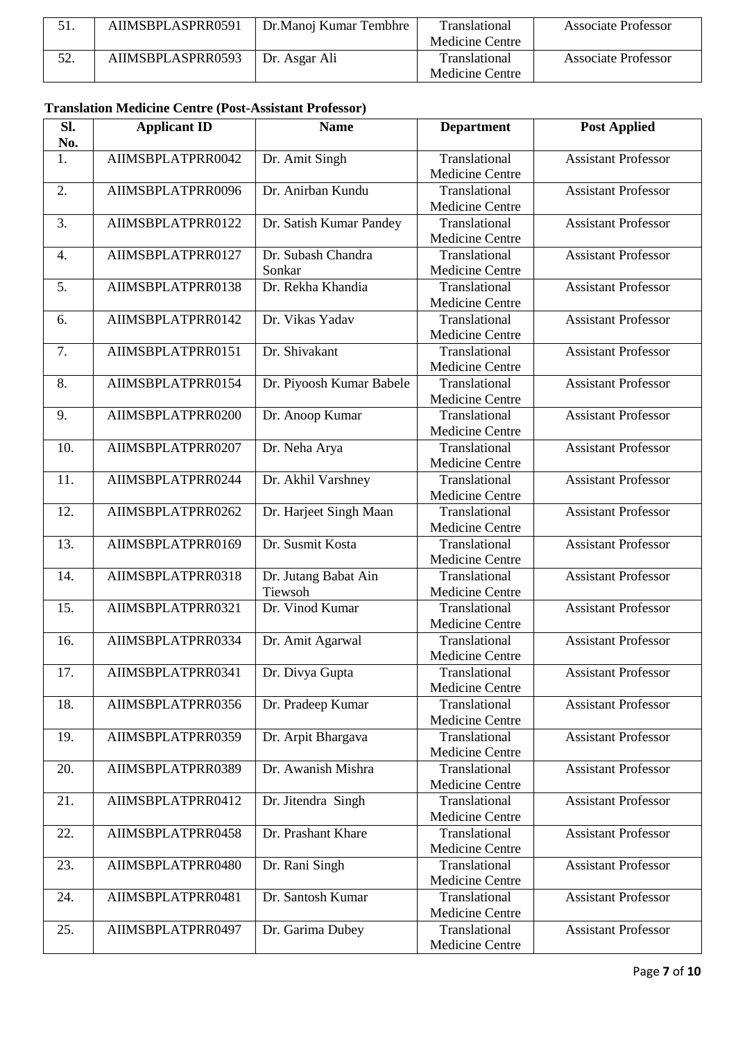|    | AIIMSBPLASPRR0591 | Dr.Manoj Kumar Tembhre | <b>Translational</b> | Associate Professor        |
|----|-------------------|------------------------|----------------------|----------------------------|
|    |                   |                        | Medicine Centre      |                            |
| 50 | AIIMSBPLASPRR0593 | Dr. Asgar Ali          | <b>Translational</b> | <b>Associate Professor</b> |
|    |                   |                        | Medicine Centre      |                            |

#### **Translation Medicine Centre (Post-Assistant Professor)**

| SI.<br>No. | <b>Applicant ID</b> | <b>Name</b>                     | <b>Department</b>                       | <b>Post Applied</b>        |
|------------|---------------------|---------------------------------|-----------------------------------------|----------------------------|
| 1.         | AIIMSBPLATPRR0042   | Dr. Amit Singh                  | Translational<br><b>Medicine Centre</b> | <b>Assistant Professor</b> |
| 2.         | AIIMSBPLATPRR0096   | Dr. Anirban Kundu               | Translational<br><b>Medicine Centre</b> | <b>Assistant Professor</b> |
| 3.         | AIIMSBPLATPRR0122   | Dr. Satish Kumar Pandey         | Translational<br>Medicine Centre        | <b>Assistant Professor</b> |
| 4.         | AIIMSBPLATPRR0127   | Dr. Subash Chandra<br>Sonkar    | Translational<br><b>Medicine Centre</b> | <b>Assistant Professor</b> |
| 5.         | AIIMSBPLATPRR0138   | Dr. Rekha Khandia               | Translational<br><b>Medicine Centre</b> | <b>Assistant Professor</b> |
| 6.         | AIIMSBPLATPRR0142   | Dr. Vikas Yadav                 | Translational<br>Medicine Centre        | <b>Assistant Professor</b> |
| 7.         | AIIMSBPLATPRR0151   | Dr. Shivakant                   | Translational<br><b>Medicine Centre</b> | <b>Assistant Professor</b> |
| 8.         | AIIMSBPLATPRR0154   | Dr. Piyoosh Kumar Babele        | Translational<br><b>Medicine Centre</b> | <b>Assistant Professor</b> |
| 9.         | AIIMSBPLATPRR0200   | Dr. Anoop Kumar                 | Translational<br><b>Medicine Centre</b> | <b>Assistant Professor</b> |
| 10.        | AIIMSBPLATPRR0207   | Dr. Neha Arya                   | Translational<br><b>Medicine Centre</b> | <b>Assistant Professor</b> |
| 11.        | AIIMSBPLATPRR0244   | Dr. Akhil Varshney              | Translational<br>Medicine Centre        | <b>Assistant Professor</b> |
| 12.        | AIIMSBPLATPRR0262   | Dr. Harjeet Singh Maan          | Translational<br>Medicine Centre        | <b>Assistant Professor</b> |
| 13.        | AIIMSBPLATPRR0169   | Dr. Susmit Kosta                | Translational<br><b>Medicine Centre</b> | <b>Assistant Professor</b> |
| 14.        | AIIMSBPLATPRR0318   | Dr. Jutang Babat Ain<br>Tiewsoh | Translational<br>Medicine Centre        | <b>Assistant Professor</b> |
| 15.        | AIIMSBPLATPRR0321   | Dr. Vinod Kumar                 | Translational<br>Medicine Centre        | <b>Assistant Professor</b> |
| 16.        | AIIMSBPLATPRR0334   | Dr. Amit Agarwal                | Translational<br>Medicine Centre        | <b>Assistant Professor</b> |
| 17.        | AIIMSBPLATPRR0341   | Dr. Divya Gupta                 | Translational<br><b>Medicine Centre</b> | <b>Assistant Professor</b> |
| 18.        | AIIMSBPLATPRR0356   | Dr. Pradeep Kumar               | Translational<br><b>Medicine Centre</b> | <b>Assistant Professor</b> |
| 19.        | AIIMSBPLATPRR0359   | Dr. Arpit Bhargava              | Translational<br><b>Medicine Centre</b> | <b>Assistant Professor</b> |
| 20.        | AIIMSBPLATPRR0389   | Dr. Awanish Mishra              | Translational<br>Medicine Centre        | <b>Assistant Professor</b> |
| 21.        | AIIMSBPLATPRR0412   | Dr. Jitendra Singh              | Translational<br><b>Medicine Centre</b> | <b>Assistant Professor</b> |
| 22.        | AIIMSBPLATPRR0458   | Dr. Prashant Khare              | Translational<br><b>Medicine Centre</b> | <b>Assistant Professor</b> |
| 23.        | AIIMSBPLATPRR0480   | Dr. Rani Singh                  | Translational<br>Medicine Centre        | <b>Assistant Professor</b> |
| 24.        | AIIMSBPLATPRR0481   | Dr. Santosh Kumar               | Translational<br>Medicine Centre        | <b>Assistant Professor</b> |
| 25.        | AIIMSBPLATPRR0497   | Dr. Garima Dubey                | Translational<br>Medicine Centre        | <b>Assistant Professor</b> |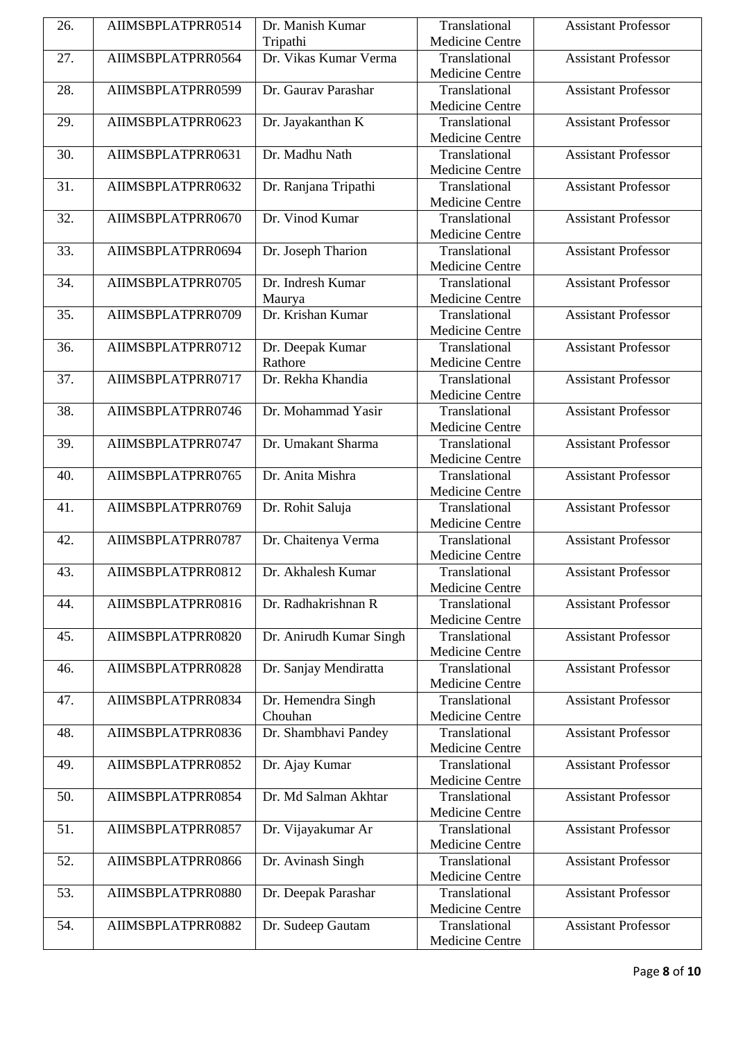| 26. | AIIMSBPLATPRR0514 | Dr. Manish Kumar        | Translational          | <b>Assistant Professor</b> |
|-----|-------------------|-------------------------|------------------------|----------------------------|
|     |                   | Tripathi                | <b>Medicine Centre</b> |                            |
| 27. | AIIMSBPLATPRR0564 | Dr. Vikas Kumar Verma   | Translational          | <b>Assistant Professor</b> |
|     |                   |                         | Medicine Centre        |                            |
| 28. | AIIMSBPLATPRR0599 | Dr. Gaurav Parashar     | Translational          | <b>Assistant Professor</b> |
|     |                   |                         | <b>Medicine Centre</b> |                            |
| 29. | AIIMSBPLATPRR0623 | Dr. Jayakanthan K       | Translational          | <b>Assistant Professor</b> |
|     |                   |                         | <b>Medicine Centre</b> |                            |
| 30. | AIIMSBPLATPRR0631 | Dr. Madhu Nath          | Translational          | <b>Assistant Professor</b> |
|     |                   |                         | Medicine Centre        |                            |
| 31. | AIIMSBPLATPRR0632 | Dr. Ranjana Tripathi    | Translational          | <b>Assistant Professor</b> |
|     |                   |                         | <b>Medicine Centre</b> |                            |
| 32. | AIIMSBPLATPRR0670 | Dr. Vinod Kumar         | Translational          | <b>Assistant Professor</b> |
|     |                   |                         | <b>Medicine Centre</b> |                            |
| 33. | AIIMSBPLATPRR0694 | Dr. Joseph Tharion      | Translational          | <b>Assistant Professor</b> |
|     |                   |                         | Medicine Centre        |                            |
| 34. | AIIMSBPLATPRR0705 | Dr. Indresh Kumar       | Translational          | <b>Assistant Professor</b> |
|     |                   | Maurya                  | <b>Medicine Centre</b> |                            |
| 35. | AIIMSBPLATPRR0709 | Dr. Krishan Kumar       | Translational          | <b>Assistant Professor</b> |
|     |                   |                         | Medicine Centre        |                            |
| 36. | AIIMSBPLATPRR0712 | Dr. Deepak Kumar        | Translational          | <b>Assistant Professor</b> |
|     |                   | Rathore                 | Medicine Centre        |                            |
| 37. | AIIMSBPLATPRR0717 | Dr. Rekha Khandia       | Translational          | <b>Assistant Professor</b> |
|     |                   |                         | <b>Medicine Centre</b> |                            |
| 38. | AIIMSBPLATPRR0746 | Dr. Mohammad Yasir      | Translational          | <b>Assistant Professor</b> |
|     |                   |                         | Medicine Centre        |                            |
| 39. | AIIMSBPLATPRR0747 | Dr. Umakant Sharma      | Translational          | <b>Assistant Professor</b> |
|     |                   |                         | Medicine Centre        |                            |
| 40. | AIIMSBPLATPRR0765 | Dr. Anita Mishra        | Translational          | <b>Assistant Professor</b> |
|     |                   |                         | <b>Medicine Centre</b> |                            |
| 41. | AIIMSBPLATPRR0769 | Dr. Rohit Saluja        | Translational          | <b>Assistant Professor</b> |
|     |                   |                         | Medicine Centre        |                            |
| 42. | AIIMSBPLATPRR0787 | Dr. Chaitenya Verma     | Translational          | <b>Assistant Professor</b> |
|     |                   |                         | Medicine Centre        |                            |
| 43. | AIIMSBPLATPRR0812 | Dr. Akhalesh Kumar      | Translational          | <b>Assistant Professor</b> |
|     |                   |                         | <b>Medicine Centre</b> |                            |
| 44. | AIIMSBPLATPRR0816 | Dr. Radhakrishnan R     | Translational          | <b>Assistant Professor</b> |
|     |                   |                         | Medicine Centre        |                            |
| 45. | AIIMSBPLATPRR0820 | Dr. Anirudh Kumar Singh | Translational          | <b>Assistant Professor</b> |
|     |                   |                         | Medicine Centre        |                            |
| 46. | AIIMSBPLATPRR0828 | Dr. Sanjay Mendiratta   | Translational          | <b>Assistant Professor</b> |
|     |                   |                         | <b>Medicine Centre</b> |                            |
| 47. | AIIMSBPLATPRR0834 | Dr. Hemendra Singh      | Translational          | <b>Assistant Professor</b> |
|     |                   | Chouhan                 | <b>Medicine Centre</b> |                            |
| 48. | AIIMSBPLATPRR0836 | Dr. Shambhavi Pandey    | Translational          | <b>Assistant Professor</b> |
|     |                   |                         | Medicine Centre        |                            |
| 49. | AIIMSBPLATPRR0852 | Dr. Ajay Kumar          | Translational          | <b>Assistant Professor</b> |
|     |                   |                         | <b>Medicine Centre</b> |                            |
| 50. | AIIMSBPLATPRR0854 | Dr. Md Salman Akhtar    | Translational          | <b>Assistant Professor</b> |
|     |                   |                         | Medicine Centre        |                            |
| 51. | AIIMSBPLATPRR0857 | Dr. Vijayakumar Ar      | Translational          | <b>Assistant Professor</b> |
|     |                   |                         | Medicine Centre        |                            |
| 52. | AIIMSBPLATPRR0866 | Dr. Avinash Singh       | Translational          | <b>Assistant Professor</b> |
|     |                   |                         | <b>Medicine Centre</b> |                            |
| 53. | AIIMSBPLATPRR0880 | Dr. Deepak Parashar     | Translational          | <b>Assistant Professor</b> |
|     |                   |                         | Medicine Centre        |                            |
| 54. | AIIMSBPLATPRR0882 | Dr. Sudeep Gautam       | Translational          | <b>Assistant Professor</b> |
|     |                   |                         | Medicine Centre        |                            |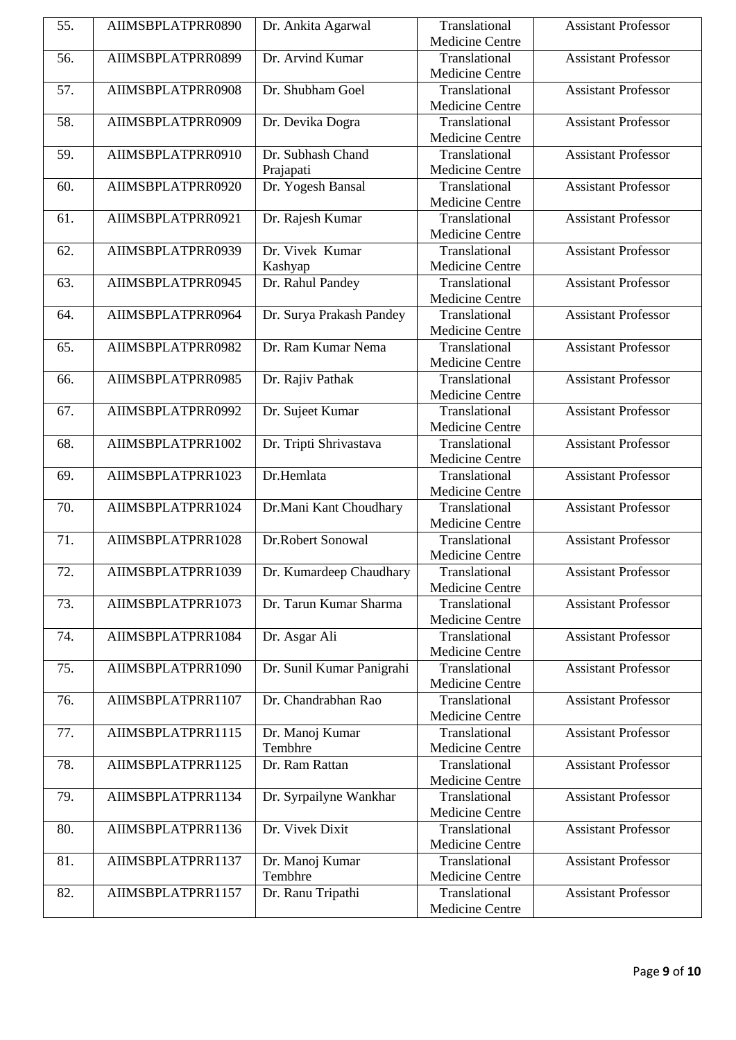| 55. | AIIMSBPLATPRR0890 | Dr. Ankita Agarwal                        | Translational          | <b>Assistant Professor</b> |
|-----|-------------------|-------------------------------------------|------------------------|----------------------------|
|     |                   |                                           | Medicine Centre        |                            |
| 56. | AIIMSBPLATPRR0899 | Dr. Arvind Kumar                          | Translational          | <b>Assistant Professor</b> |
|     |                   |                                           | Medicine Centre        |                            |
| 57. | AIIMSBPLATPRR0908 | Dr. Shubham Goel                          | Translational          | <b>Assistant Professor</b> |
|     |                   |                                           | <b>Medicine Centre</b> |                            |
| 58. | AIIMSBPLATPRR0909 | Dr. Devika Dogra                          | Translational          | <b>Assistant Professor</b> |
|     |                   |                                           | <b>Medicine Centre</b> |                            |
| 59. | AIIMSBPLATPRR0910 | Dr. Subhash Chand                         | Translational          | <b>Assistant Professor</b> |
|     |                   | Prajapati                                 | <b>Medicine Centre</b> |                            |
| 60. | AIIMSBPLATPRR0920 | Dr. Yogesh Bansal                         | Translational          | <b>Assistant Professor</b> |
|     |                   |                                           | <b>Medicine Centre</b> |                            |
| 61. | AIIMSBPLATPRR0921 | Dr. Rajesh Kumar                          | Translational          | <b>Assistant Professor</b> |
|     |                   |                                           | Medicine Centre        |                            |
| 62. | AIIMSBPLATPRR0939 | Dr. Vivek Kumar                           | Translational          | <b>Assistant Professor</b> |
|     |                   | Kashyap                                   | Medicine Centre        |                            |
| 63. | AIIMSBPLATPRR0945 | Dr. Rahul Pandey                          | Translational          | <b>Assistant Professor</b> |
|     |                   |                                           | <b>Medicine Centre</b> |                            |
| 64. | AIIMSBPLATPRR0964 | Dr. Surya Prakash Pandey                  | Translational          | <b>Assistant Professor</b> |
|     |                   |                                           | Medicine Centre        |                            |
| 65. | AIIMSBPLATPRR0982 | Dr. Ram Kumar Nema                        | Translational          | <b>Assistant Professor</b> |
|     |                   |                                           | Medicine Centre        |                            |
| 66. | AIIMSBPLATPRR0985 | Dr. Rajiv Pathak                          | Translational          | <b>Assistant Professor</b> |
|     |                   |                                           | <b>Medicine Centre</b> |                            |
| 67. | AIIMSBPLATPRR0992 | Dr. Sujeet Kumar                          | Translational          | <b>Assistant Professor</b> |
|     |                   |                                           | Medicine Centre        |                            |
| 68. | AIIMSBPLATPRR1002 | Dr. Tripti Shrivastava                    | Translational          | <b>Assistant Professor</b> |
|     |                   |                                           | Medicine Centre        |                            |
| 69. | AIIMSBPLATPRR1023 | Dr.Hemlata                                | Translational          | <b>Assistant Professor</b> |
|     |                   |                                           | Medicine Centre        |                            |
| 70. | AIIMSBPLATPRR1024 | Dr.Mani Kant Choudhary                    | Translational          | <b>Assistant Professor</b> |
|     |                   |                                           | Medicine Centre        |                            |
| 71. | AIIMSBPLATPRR1028 | Dr.Robert Sonowal                         | Translational          | <b>Assistant Professor</b> |
|     |                   |                                           | Medicine Centre        |                            |
| 72. |                   | AIIMSBPLATPRR1039 Dr. Kumardeep Chaudhary | Translational          | <b>Assistant Professor</b> |
|     |                   |                                           | <b>Medicine Centre</b> |                            |
| 73. | AIIMSBPLATPRR1073 | Dr. Tarun Kumar Sharma                    | Translational          | <b>Assistant Professor</b> |
|     |                   |                                           | Medicine Centre        |                            |
| 74. | AIIMSBPLATPRR1084 | Dr. Asgar Ali                             | Translational          | <b>Assistant Professor</b> |
|     |                   |                                           | Medicine Centre        |                            |
| 75. | AIIMSBPLATPRR1090 | Dr. Sunil Kumar Panigrahi                 | Translational          | <b>Assistant Professor</b> |
|     |                   |                                           | Medicine Centre        |                            |
| 76. | AIIMSBPLATPRR1107 | Dr. Chandrabhan Rao                       | Translational          | <b>Assistant Professor</b> |
|     |                   |                                           | Medicine Centre        |                            |
| 77. | AIIMSBPLATPRR1115 | Dr. Manoj Kumar                           | Translational          | <b>Assistant Professor</b> |
|     |                   | Tembhre                                   | Medicine Centre        |                            |
| 78. | AIIMSBPLATPRR1125 | Dr. Ram Rattan                            | Translational          | <b>Assistant Professor</b> |
|     |                   |                                           | Medicine Centre        |                            |
| 79. | AIIMSBPLATPRR1134 | Dr. Syrpailyne Wankhar                    | Translational          | <b>Assistant Professor</b> |
|     |                   |                                           | Medicine Centre        |                            |
| 80. | AIIMSBPLATPRR1136 | Dr. Vivek Dixit                           | Translational          | <b>Assistant Professor</b> |
|     |                   |                                           | Medicine Centre        |                            |
| 81. | AIIMSBPLATPRR1137 | Dr. Manoj Kumar                           | Translational          | <b>Assistant Professor</b> |
|     |                   | Tembhre                                   | <b>Medicine Centre</b> |                            |
| 82. | AIIMSBPLATPRR1157 | Dr. Ranu Tripathi                         | Translational          | <b>Assistant Professor</b> |
|     |                   |                                           | Medicine Centre        |                            |